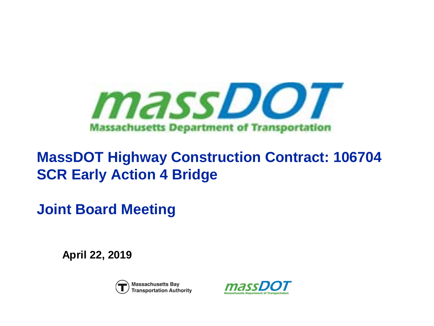

## **MassDOT Highway Construction Contract: 106704 SCR Early Action 4 Bridge**

**Joint Board Meeting**

**April 22, 2019**



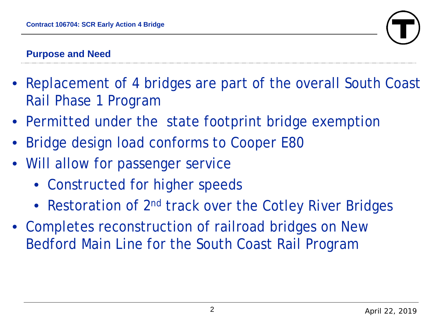

### **Purpose and Need**

- Replacement of 4 bridges are part of the overall South Coast Rail Phase 1 Program
- Permitted under the state footprint bridge exemption
- Bridge design load conforms to Cooper E80
- Will allow for passenger service
	- Constructed for higher speeds
	- Restoration of 2<sup>nd</sup> track over the Cotley River Bridges
- Completes reconstruction of railroad bridges on New Bedford Main Line for the South Coast Rail Program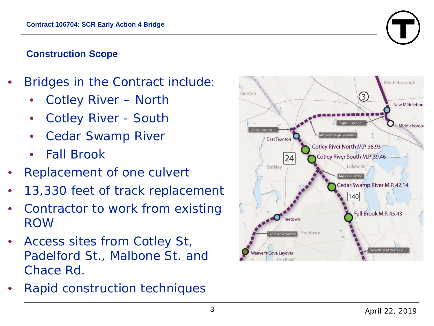

### **Construction Scope**

- Bridges in the Contract include:
	- Cotley River North
	- Cotley River South
	- Cedar Swamp River
	- Fall Brook
- Replacement of one culvert
- 13,330 feet of track replacement
- Contractor to work from existing ROW
- Access sites from Cotley St, Padelford St., Malbone St. and Chace Rd.
- Rapid construction techniques

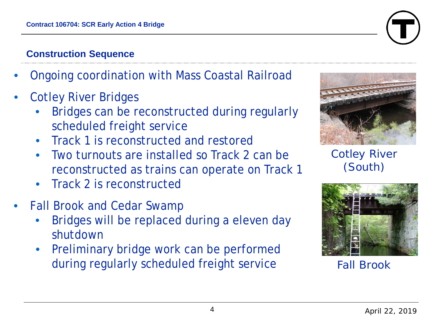### **Construction Sequence**

- Ongoing coordination with Mass Coastal Railroad
- Cotley River Bridges
	- Bridges can be reconstructed during regularly scheduled freight service
	- Track 1 is reconstructed and restored
	- Two turnouts are installed so Track 2 can be reconstructed as trains can operate on Track 1
	- Track 2 is reconstructed
- Fall Brook and Cedar Swamp
	- Bridges will be replaced during a eleven day shutdown
	- Preliminary bridge work can be performed during regularly scheduled freight service





Cotley River (South)



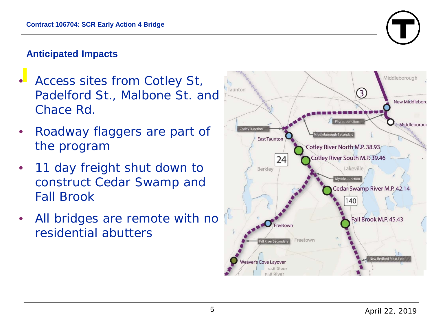

### **Anticipated Impacts**

- Access sites from Cotley St, Padelford St., Malbone St. and Chace Rd.
- Roadway flaggers are part of the program
- 11 day freight shut down to construct Cedar Swamp and Fall Brook
- All bridges are remote with no residential abutters

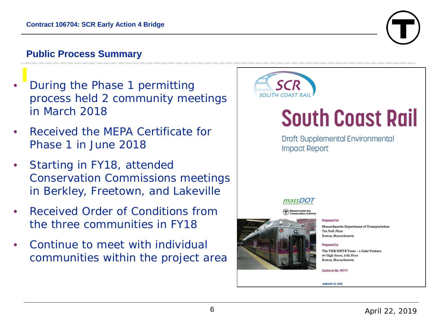### **Public Process Summary**

- During the Phase 1 permitting process held 2 community meetings in March 2018
- Received the MEPA Certificate for Phase 1 in June 2018
- Starting in FY18, attended Conservation Commissions meetings in Berkley, Freetown, and Lakeville
- Received Order of Conditions from the three communities in FY18
- Continue to meet with individual communities within the project area



# **South Coast Rail**

**Draft Supplemental Environmental Impact Report** 

massDO1

**Prepared for** 

Massachusetts Department of Transportation Ten Park Plaza Boston, Massachusetts

Prepared by The VHB/HNTB Team - a Joint Venture 99 High Street, 10th Floor **Boston, Massachusetts** 

Contract No. 99771

**JANUARY 31, 2018** 

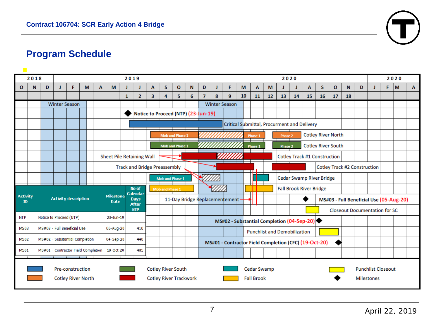

### **Program Schedule**

|                                                                            | 2018                                          |                                                  | 2019                                |                                                                       |                        |           |                          |           |                            |                                                    |                                      |                | 2020                 |                                                       |                                            |                                             |                           |    |    |                                         |    |    |    |              | 2020 |   |    |       |  |   |
|----------------------------------------------------------------------------|-----------------------------------------------|--------------------------------------------------|-------------------------------------|-----------------------------------------------------------------------|------------------------|-----------|--------------------------|-----------|----------------------------|----------------------------------------------------|--------------------------------------|----------------|----------------------|-------------------------------------------------------|--------------------------------------------|---------------------------------------------|---------------------------|----|----|-----------------------------------------|----|----|----|--------------|------|---|----|-------|--|---|
| $\mathbf{o}$                                                               | N                                             | D                                                | J                                   | F                                                                     | M                      | A         | M                        |           |                            | A                                                  | S                                    | $\mathbf{o}$   | N                    | D                                                     | J                                          | F                                           | M                         | A  | M  |                                         |    | A  | S  | $\mathbf{o}$ | N    | D | J. | $F$ M |  | A |
|                                                                            |                                               |                                                  |                                     |                                                                       |                        |           |                          | 1         | $\overline{2}$             | 3                                                  | 4                                    | 5              | 6                    | $\overline{7}$                                        | 8                                          | 9                                           | 10                        | 11 | 12 | 13                                      | 14 | 15 | 16 | 17           | 18   |   |    |       |  |   |
|                                                                            |                                               |                                                  | <b>Winter Season</b>                |                                                                       |                        |           |                          |           |                            |                                                    |                                      |                | <b>Winter Season</b> |                                                       |                                            |                                             |                           |    |    |                                         |    |    |    |              |      |   |    |       |  |   |
|                                                                            |                                               |                                                  |                                     |                                                                       |                        |           |                          |           |                            | Notice to Proceed (NTP) (23-Jun-19)                |                                      |                |                      |                                                       |                                            |                                             |                           |    |    |                                         |    |    |    |              |      |   |    |       |  |   |
|                                                                            |                                               |                                                  |                                     |                                                                       |                        |           |                          |           |                            |                                                    |                                      |                |                      |                                                       |                                            | Critical Submittal, Procurment and Delivery |                           |    |    |                                         |    |    |    |              |      |   |    |       |  |   |
|                                                                            |                                               |                                                  |                                     |                                                                       | <b>Mob and Phase 1</b> |           |                          |           |                            |                                                    |                                      | <b>Phase 1</b> |                      | Phase 2                                               |                                            |                                             | <b>Cotley River North</b> |    |    |                                         |    |    |    |              |      |   |    |       |  |   |
|                                                                            |                                               |                                                  |                                     | <b>Mob and Phase 1</b><br><b>Phase 1</b>                              |                        |           |                          |           |                            |                                                    | <b>Cotley River South</b><br>Phase 2 |                |                      |                                                       |                                            |                                             |                           |    |    |                                         |    |    |    |              |      |   |    |       |  |   |
|                                                                            |                                               |                                                  | <b>Sheet Pile Retaining Wall</b>    |                                                                       |                        |           |                          |           |                            |                                                    |                                      |                |                      |                                                       |                                            | <b>Cotley Track #1 Construction</b>         |                           |    |    |                                         |    |    |    |              |      |   |    |       |  |   |
|                                                                            |                                               |                                                  | <b>Track and Bridge Preassembly</b> |                                                                       |                        |           |                          |           |                            |                                                    | Cotley Track #2 Construction         |                |                      |                                                       |                                            |                                             |                           |    |    |                                         |    |    |    |              |      |   |    |       |  |   |
|                                                                            |                                               |                                                  |                                     | $\sqrt{2}$<br>Cedar Swamp River Bridge<br><b>Mob and Phase 1</b><br>∄ |                        |           |                          |           |                            |                                                    |                                      |                |                      |                                                       |                                            |                                             |                           |    |    |                                         |    |    |    |              |      |   |    |       |  |   |
|                                                                            |                                               |                                                  |                                     |                                                                       |                        |           |                          |           | No of<br>Calendar          | <b>Mob and Phase 1</b>                             |                                      |                |                      |                                                       | <b>Fall Brook River Bridge</b><br>┯        |                                             |                           |    |    |                                         |    |    |    |              |      |   |    |       |  |   |
| <b>Activity</b><br>ID                                                      |                                               |                                                  |                                     | <b>Activity description</b>                                           |                        |           | Milestone<br><b>Date</b> |           | <b>Days</b>                | 11-Day Bridge Replacementement -                   |                                      |                |                      |                                                       |                                            |                                             |                           |    |    | MS#03 - Full Beneficial Use (05-Aug-20) |    |    |    |              |      |   |    |       |  |   |
|                                                                            |                                               |                                                  |                                     |                                                                       |                        |           |                          |           | <b>After</b><br><b>NTP</b> |                                                    |                                      |                |                      |                                                       |                                            | <b>Closeout Documentation for SC</b>        |                           |    |    |                                         |    |    |    |              |      |   |    |       |  |   |
| <b>NTP</b>                                                                 |                                               |                                                  |                                     | Notice to Proceed (NTP)                                               |                        |           |                          | 23-Jun-19 |                            |                                                    |                                      |                |                      |                                                       | MS#02 - Substantial Completion (04-Sep-20) |                                             |                           |    |    |                                         |    |    |    |              |      |   |    |       |  |   |
| MS03                                                                       |                                               |                                                  | MS#03 - Full Beneficial Use         |                                                                       |                        | 05-Aug-20 | 410                      |           |                            |                                                    |                                      |                |                      | <b>Punchlist and Demobilization</b>                   |                                            |                                             |                           |    |    |                                         |    |    |    |              |      |   |    |       |  |   |
|                                                                            | M5#02 - Substantial Completion<br><b>MS02</b> |                                                  |                                     |                                                                       |                        | 04-5ep-20 |                          | 440       |                            |                                                    |                                      |                |                      | MS#01 - Contractor Field Completion (CFC) (19-Oct-20) |                                            |                                             |                           |    |    |                                         |    |    |    |              |      |   |    |       |  |   |
| <b>MS01</b>                                                                |                                               | MS#01 - Contractor Field Completion<br>19-Oct-20 |                                     |                                                                       |                        |           |                          | 485       |                            |                                                    |                                      |                |                      |                                                       |                                            |                                             |                           |    |    |                                         |    |    |    |              |      |   |    |       |  |   |
|                                                                            |                                               |                                                  |                                     |                                                                       |                        |           |                          |           |                            |                                                    |                                      |                |                      |                                                       |                                            |                                             |                           |    |    |                                         |    |    |    |              |      |   |    |       |  |   |
| <b>Cotley River South</b><br><b>Pre-construction</b><br><b>Cedar Swamp</b> |                                               |                                                  |                                     |                                                                       |                        |           |                          |           |                            |                                                    |                                      |                |                      |                                                       |                                            | <b>Punchlist Closeout</b>                   |                           |    |    |                                         |    |    |    |              |      |   |    |       |  |   |
|                                                                            | <b>Cotley River North</b>                     |                                                  |                                     |                                                                       |                        |           |                          |           |                            | <b>Cotley River Trackwork</b><br><b>Fall Brook</b> |                                      |                |                      |                                                       |                                            |                                             |                           |    |    | <b>Milestones</b>                       |    |    |    |              |      |   |    |       |  |   |
|                                                                            |                                               |                                                  |                                     |                                                                       |                        |           |                          |           |                            |                                                    |                                      |                |                      |                                                       |                                            |                                             |                           |    |    |                                         |    |    |    |              |      |   |    |       |  |   |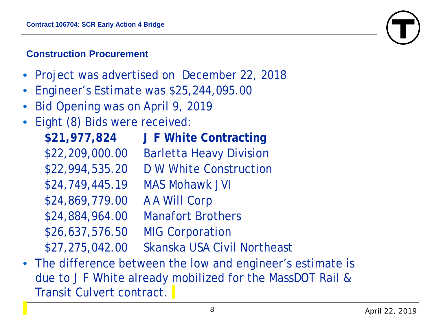### **Construction Procurement**

- Project was advertised on December 22, 2018
- Engineer's Estimate was \$25,244,095.00
- Bid Opening was on April 9, 2019
- Eight (8) Bids were received:

**\$21,977,824 J F White Contracting**  \$22,209,000.00 Barletta Heavy Division \$22,994,535.20 D W White Construction \$24,749,445.19 MAS Mohawk JVI \$24,869,779.00 A A Will Corp \$24,884,964.00 Manafort Brothers \$26,637,576.50 MIG Corporation \$27,275,042.00 Skanska USA Civil Northeast

• The difference between the low and engineer's estimate is due to J F White already mobilized for the MassDOT Rail & Transit Culvert contract.

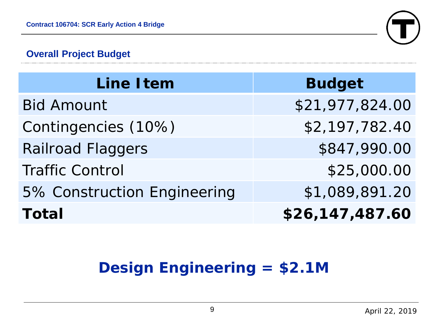

### **Overall Project Budget**

| <b>Line Item</b>            | <b>Budget</b>   |
|-----------------------------|-----------------|
| <b>Bid Amount</b>           | \$21,977,824.00 |
| Contingencies (10%)         | \$2,197,782.40  |
| <b>Railroad Flaggers</b>    | \$847,990.00    |
| <b>Traffic Control</b>      | \$25,000.00     |
| 5% Construction Engineering | \$1,089,891.20  |
| <b>Total</b>                | \$26,147,487.60 |

# **Design Engineering = \$2.1M**